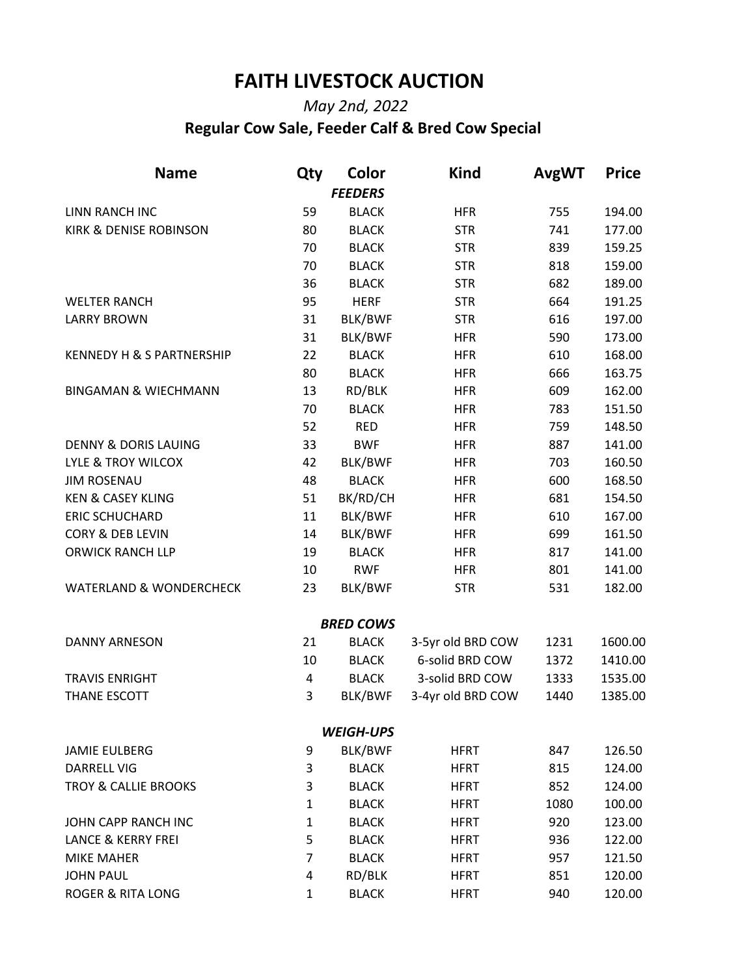## **FAITH LIVESTOCK AUCTION**

## *May 2nd, 2022*   **Regular Cow Sale, Feeder Calf & Bred Cow Special**

| <b>Name</b>                          | Qty            | Color            | <b>Kind</b>       | <b>AvgWT</b> | <b>Price</b> |
|--------------------------------------|----------------|------------------|-------------------|--------------|--------------|
|                                      |                | <b>FEEDERS</b>   |                   |              |              |
| LINN RANCH INC                       | 59             | <b>BLACK</b>     | <b>HFR</b>        | 755          | 194.00       |
| <b>KIRK &amp; DENISE ROBINSON</b>    | 80             | <b>BLACK</b>     | <b>STR</b>        | 741          | 177.00       |
|                                      | 70             | <b>BLACK</b>     | <b>STR</b>        | 839          | 159.25       |
|                                      | 70             | <b>BLACK</b>     | <b>STR</b>        | 818          | 159.00       |
|                                      | 36             | <b>BLACK</b>     | <b>STR</b>        | 682          | 189.00       |
| <b>WELTER RANCH</b>                  | 95             | <b>HERF</b>      | <b>STR</b>        | 664          | 191.25       |
| <b>LARRY BROWN</b>                   | 31             | BLK/BWF          | <b>STR</b>        | 616          | 197.00       |
|                                      | 31             | BLK/BWF          | <b>HFR</b>        | 590          | 173.00       |
| <b>KENNEDY H &amp; S PARTNERSHIP</b> | 22             | <b>BLACK</b>     | <b>HFR</b>        | 610          | 168.00       |
|                                      | 80             | <b>BLACK</b>     | <b>HFR</b>        | 666          | 163.75       |
| <b>BINGAMAN &amp; WIECHMANN</b>      | 13             | RD/BLK           | <b>HFR</b>        | 609          | 162.00       |
|                                      | 70             | <b>BLACK</b>     | <b>HFR</b>        | 783          | 151.50       |
|                                      | 52             | <b>RED</b>       | <b>HFR</b>        | 759          | 148.50       |
| <b>DENNY &amp; DORIS LAUING</b>      | 33             | <b>BWF</b>       | <b>HFR</b>        | 887          | 141.00       |
| LYLE & TROY WILCOX                   | 42             | BLK/BWF          | <b>HFR</b>        | 703          | 160.50       |
| <b>JIM ROSENAU</b>                   | 48             | <b>BLACK</b>     | <b>HFR</b>        | 600          | 168.50       |
| <b>KEN &amp; CASEY KLING</b>         | 51             | BK/RD/CH         | <b>HFR</b>        | 681          | 154.50       |
| <b>ERIC SCHUCHARD</b>                | 11             | BLK/BWF          | <b>HFR</b>        | 610          | 167.00       |
| <b>CORY &amp; DEB LEVIN</b>          | 14             | <b>BLK/BWF</b>   | <b>HFR</b>        | 699          | 161.50       |
| <b>ORWICK RANCH LLP</b>              | 19             | <b>BLACK</b>     | <b>HFR</b>        | 817          | 141.00       |
|                                      | 10             | <b>RWF</b>       | <b>HFR</b>        | 801          | 141.00       |
| <b>WATERLAND &amp; WONDERCHECK</b>   | 23             | BLK/BWF          | <b>STR</b>        | 531          | 182.00       |
|                                      |                | <b>BRED COWS</b> |                   |              |              |
| <b>DANNY ARNESON</b>                 | 21             | <b>BLACK</b>     | 3-5yr old BRD COW | 1231         | 1600.00      |
|                                      | 10             | <b>BLACK</b>     | 6-solid BRD COW   | 1372         | 1410.00      |
| <b>TRAVIS ENRIGHT</b>                | 4              | <b>BLACK</b>     | 3-solid BRD COW   | 1333         | 1535.00      |
| THANE ESCOTT                         | 3              | BLK/BWF          | 3-4yr old BRD COW | 1440         | 1385.00      |
|                                      |                | <b>WEIGH-UPS</b> |                   |              |              |
| <b>JAMIE EULBERG</b>                 | 9              | BLK/BWF          | <b>HFRT</b>       | 847          | 126.50       |
| <b>DARRELL VIG</b>                   | 3              | <b>BLACK</b>     | <b>HFRT</b>       | 815          | 124.00       |
| <b>TROY &amp; CALLIE BROOKS</b>      | 3              | <b>BLACK</b>     | <b>HFRT</b>       | 852          | 124.00       |
|                                      | 1              | <b>BLACK</b>     | <b>HFRT</b>       | 1080         | 100.00       |
| JOHN CAPP RANCH INC                  | 1              | <b>BLACK</b>     | <b>HFRT</b>       | 920          | 123.00       |
| <b>LANCE &amp; KERRY FREI</b>        | 5              | <b>BLACK</b>     | <b>HFRT</b>       | 936          | 122.00       |
| <b>MIKE MAHER</b>                    | $\overline{7}$ | <b>BLACK</b>     | <b>HFRT</b>       | 957          | 121.50       |
| <b>JOHN PAUL</b>                     | 4              | RD/BLK           | <b>HFRT</b>       | 851          | 120.00       |
| <b>ROGER &amp; RITA LONG</b>         | $\mathbf{1}$   | <b>BLACK</b>     | <b>HFRT</b>       | 940          | 120.00       |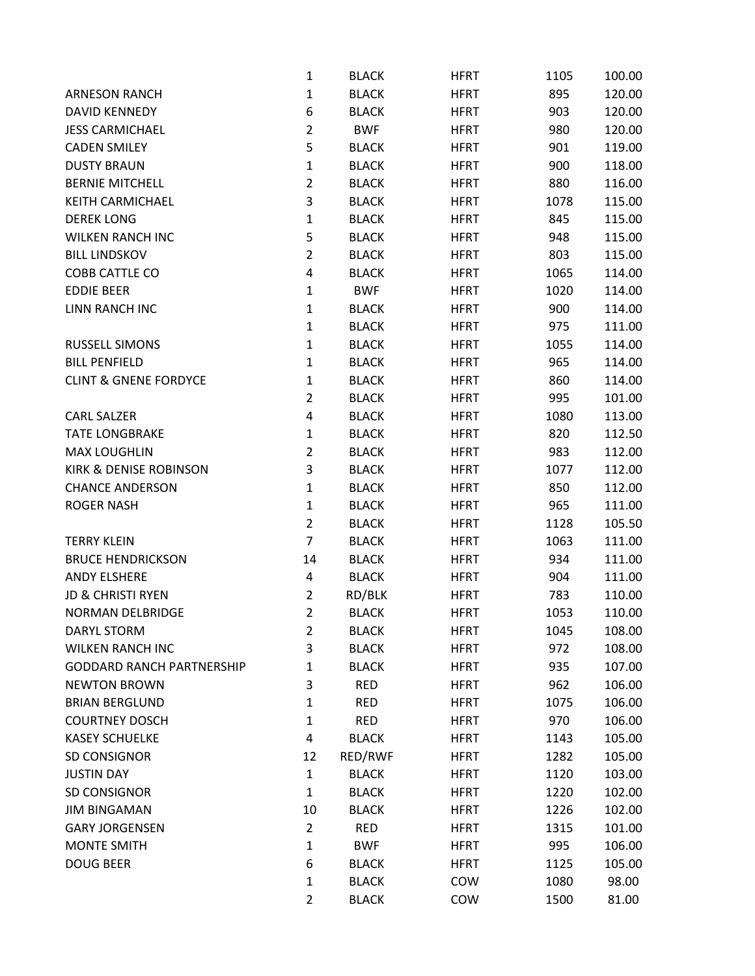|                                  | 1              | <b>BLACK</b> | <b>HFRT</b> | 1105 | 100.00 |
|----------------------------------|----------------|--------------|-------------|------|--------|
| <b>ARNESON RANCH</b>             | 1              | <b>BLACK</b> | <b>HFRT</b> | 895  | 120.00 |
| <b>DAVID KENNEDY</b>             | 6              | <b>BLACK</b> | <b>HFRT</b> | 903  | 120.00 |
| <b>JESS CARMICHAEL</b>           | $\overline{2}$ | <b>BWF</b>   | <b>HFRT</b> | 980  | 120.00 |
| <b>CADEN SMILEY</b>              | 5              | <b>BLACK</b> | <b>HFRT</b> | 901  | 119.00 |
| <b>DUSTY BRAUN</b>               | $\mathbf 1$    | <b>BLACK</b> | <b>HFRT</b> | 900  | 118.00 |
| <b>BERNIE MITCHELL</b>           | $\overline{2}$ | <b>BLACK</b> | <b>HFRT</b> | 880  | 116.00 |
| KEITH CARMICHAEL                 | 3              | <b>BLACK</b> | <b>HFRT</b> | 1078 | 115.00 |
| <b>DEREK LONG</b>                | 1              | <b>BLACK</b> | <b>HFRT</b> | 845  | 115.00 |
| <b>WILKEN RANCH INC</b>          | 5              | <b>BLACK</b> | <b>HFRT</b> | 948  | 115.00 |
| <b>BILL LINDSKOV</b>             | $\overline{2}$ | <b>BLACK</b> | <b>HFRT</b> | 803  | 115.00 |
| COBB CATTLE CO                   | 4              | <b>BLACK</b> | <b>HFRT</b> | 1065 | 114.00 |
| <b>EDDIE BEER</b>                | 1              | <b>BWF</b>   | <b>HFRT</b> | 1020 | 114.00 |
| <b>LINN RANCH INC</b>            | $\mathbf{1}$   | <b>BLACK</b> | <b>HFRT</b> | 900  | 114.00 |
|                                  | 1              | <b>BLACK</b> | <b>HFRT</b> | 975  | 111.00 |
| <b>RUSSELL SIMONS</b>            | $\mathbf{1}$   | <b>BLACK</b> | <b>HFRT</b> | 1055 | 114.00 |
| <b>BILL PENFIELD</b>             | $\mathbf{1}$   | <b>BLACK</b> | <b>HFRT</b> | 965  | 114.00 |
| <b>CLINT &amp; GNENE FORDYCE</b> | $\mathbf{1}$   | <b>BLACK</b> | <b>HFRT</b> | 860  | 114.00 |
|                                  | $\overline{2}$ | <b>BLACK</b> | <b>HFRT</b> | 995  | 101.00 |
| <b>CARL SALZER</b>               | 4              | <b>BLACK</b> | <b>HFRT</b> | 1080 | 113.00 |
| <b>TATE LONGBRAKE</b>            | $\mathbf{1}$   | <b>BLACK</b> | <b>HFRT</b> | 820  | 112.50 |
| <b>MAX LOUGHLIN</b>              | $\overline{2}$ | <b>BLACK</b> | <b>HFRT</b> | 983  | 112.00 |
| KIRK & DENISE ROBINSON           | 3              | <b>BLACK</b> | <b>HFRT</b> | 1077 | 112.00 |
| <b>CHANCE ANDERSON</b>           | $\mathbf{1}$   | <b>BLACK</b> | <b>HFRT</b> | 850  | 112.00 |
| <b>ROGER NASH</b>                | $\mathbf{1}$   | <b>BLACK</b> | <b>HFRT</b> | 965  | 111.00 |
|                                  | $\overline{2}$ | <b>BLACK</b> | <b>HFRT</b> | 1128 | 105.50 |
| <b>TERRY KLEIN</b>               | $\overline{7}$ | <b>BLACK</b> | <b>HFRT</b> | 1063 | 111.00 |
| <b>BRUCE HENDRICKSON</b>         | 14             | <b>BLACK</b> | <b>HFRT</b> | 934  | 111.00 |
| <b>ANDY ELSHERE</b>              | 4              | <b>BLACK</b> | <b>HFRT</b> | 904  | 111.00 |
| <b>JD &amp; CHRISTI RYEN</b>     | $\overline{2}$ | RD/BLK       | <b>HFRT</b> | 783  | 110.00 |
| <b>NORMAN DELBRIDGE</b>          | $\overline{2}$ | <b>BLACK</b> | <b>HFRT</b> | 1053 | 110.00 |
| <b>DARYL STORM</b>               | $\overline{2}$ | <b>BLACK</b> | <b>HFRT</b> | 1045 | 108.00 |
| <b>WILKEN RANCH INC</b>          | 3              | <b>BLACK</b> | <b>HFRT</b> | 972  | 108.00 |
| <b>GODDARD RANCH PARTNERSHIP</b> | 1              | <b>BLACK</b> | <b>HFRT</b> | 935  | 107.00 |
| <b>NEWTON BROWN</b>              | 3              | <b>RED</b>   | <b>HFRT</b> | 962  | 106.00 |
| <b>BRIAN BERGLUND</b>            | $\mathbf{1}$   | <b>RED</b>   | <b>HFRT</b> | 1075 | 106.00 |
| <b>COURTNEY DOSCH</b>            | $\mathbf{1}$   | <b>RED</b>   | <b>HFRT</b> | 970  | 106.00 |
| <b>KASEY SCHUELKE</b>            | 4              | <b>BLACK</b> | <b>HFRT</b> | 1143 | 105.00 |
| SD CONSIGNOR                     | 12             | RED/RWF      | <b>HFRT</b> | 1282 | 105.00 |
| <b>JUSTIN DAY</b>                | $\mathbf{1}$   | <b>BLACK</b> | <b>HFRT</b> | 1120 | 103.00 |
| SD CONSIGNOR                     | $\mathbf{1}$   | <b>BLACK</b> | <b>HFRT</b> | 1220 | 102.00 |
| <b>JIM BINGAMAN</b>              | 10             | <b>BLACK</b> | <b>HFRT</b> | 1226 | 102.00 |
| <b>GARY JORGENSEN</b>            | $\overline{2}$ | <b>RED</b>   | <b>HFRT</b> | 1315 | 101.00 |
| <b>MONTE SMITH</b>               | $\mathbf{1}$   | <b>BWF</b>   | <b>HFRT</b> | 995  | 106.00 |
| <b>DOUG BEER</b>                 | 6              | <b>BLACK</b> | <b>HFRT</b> | 1125 | 105.00 |
|                                  | $\mathbf{1}$   | <b>BLACK</b> | COW         | 1080 | 98.00  |
|                                  | $\overline{2}$ | <b>BLACK</b> | COW         | 1500 | 81.00  |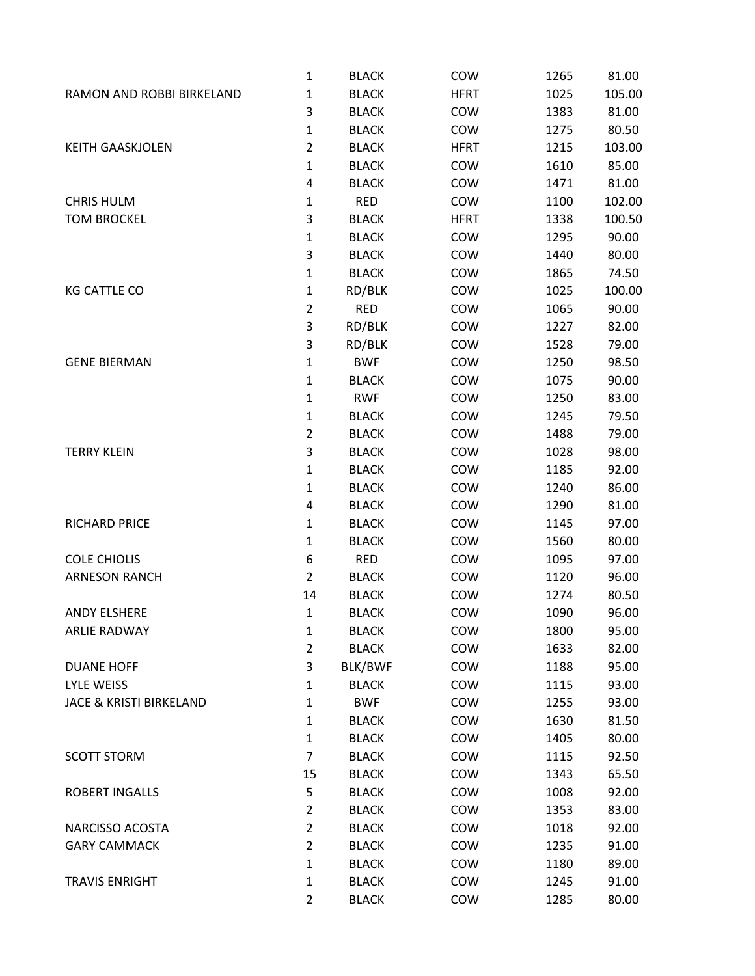|                                    | $\mathbf 1$    | <b>BLACK</b> | COW         | 1265 | 81.00  |
|------------------------------------|----------------|--------------|-------------|------|--------|
| RAMON AND ROBBI BIRKELAND          | 1              | <b>BLACK</b> | <b>HFRT</b> | 1025 | 105.00 |
|                                    | 3              | <b>BLACK</b> | COW         | 1383 | 81.00  |
|                                    | $\mathbf{1}$   | <b>BLACK</b> | COW         | 1275 | 80.50  |
| <b>KEITH GAASKJOLEN</b>            | $\overline{2}$ | <b>BLACK</b> | <b>HFRT</b> | 1215 | 103.00 |
|                                    | 1              | <b>BLACK</b> | COW         | 1610 | 85.00  |
|                                    | 4              | <b>BLACK</b> | COW         | 1471 | 81.00  |
| <b>CHRIS HULM</b>                  | 1              | <b>RED</b>   | COW         | 1100 | 102.00 |
| <b>TOM BROCKEL</b>                 | 3              | <b>BLACK</b> | <b>HFRT</b> | 1338 | 100.50 |
|                                    | 1              | <b>BLACK</b> | COW         | 1295 | 90.00  |
|                                    | 3              | <b>BLACK</b> | COW         | 1440 | 80.00  |
|                                    | $\mathbf{1}$   | <b>BLACK</b> | COW         | 1865 | 74.50  |
| <b>KG CATTLE CO</b>                | 1              | RD/BLK       | COW         | 1025 | 100.00 |
|                                    | $\overline{2}$ | <b>RED</b>   | COW         | 1065 | 90.00  |
|                                    | 3              | RD/BLK       | COW         | 1227 | 82.00  |
|                                    | 3              | RD/BLK       | COW         | 1528 | 79.00  |
| <b>GENE BIERMAN</b>                | 1              | <b>BWF</b>   | COW         | 1250 | 98.50  |
|                                    | 1              | <b>BLACK</b> | COW         | 1075 | 90.00  |
|                                    | $\mathbf 1$    | <b>RWF</b>   | COW         | 1250 | 83.00  |
|                                    | 1              | <b>BLACK</b> | COW         | 1245 | 79.50  |
|                                    | $\overline{2}$ | <b>BLACK</b> | COW         | 1488 | 79.00  |
| <b>TERRY KLEIN</b>                 | 3              | <b>BLACK</b> | COW         | 1028 | 98.00  |
|                                    | 1              | <b>BLACK</b> | COW         | 1185 | 92.00  |
|                                    | 1              | <b>BLACK</b> | COW         | 1240 | 86.00  |
|                                    | 4              | <b>BLACK</b> | COW         | 1290 | 81.00  |
| <b>RICHARD PRICE</b>               | 1              | <b>BLACK</b> | COW         | 1145 | 97.00  |
|                                    | $\mathbf 1$    | <b>BLACK</b> | COW         | 1560 | 80.00  |
| <b>COLE CHIOLIS</b>                | 6              | <b>RED</b>   | COW         | 1095 | 97.00  |
| <b>ARNESON RANCH</b>               | $\overline{2}$ | <b>BLACK</b> | COW         | 1120 | 96.00  |
|                                    | 14             | <b>BLACK</b> | COW         | 1274 | 80.50  |
| <b>ANDY ELSHERE</b>                | 1              | <b>BLACK</b> | COW         | 1090 | 96.00  |
| <b>ARLIE RADWAY</b>                | $\mathbf{1}$   | <b>BLACK</b> | COW         | 1800 | 95.00  |
|                                    | $\overline{2}$ | <b>BLACK</b> | COW         | 1633 | 82.00  |
| <b>DUANE HOFF</b>                  | 3              | BLK/BWF      | COW         | 1188 | 95.00  |
| <b>LYLE WEISS</b>                  | 1              | <b>BLACK</b> | COW         | 1115 | 93.00  |
| <b>JACE &amp; KRISTI BIRKELAND</b> | 1              | <b>BWF</b>   | COW         | 1255 | 93.00  |
|                                    | $\mathbf{1}$   | <b>BLACK</b> | COW         | 1630 | 81.50  |
|                                    | $\mathbf{1}$   | <b>BLACK</b> | COW         | 1405 | 80.00  |
| <b>SCOTT STORM</b>                 | 7              | <b>BLACK</b> | COW         | 1115 | 92.50  |
|                                    | 15             | <b>BLACK</b> | COW         | 1343 | 65.50  |
| <b>ROBERT INGALLS</b>              | 5              | <b>BLACK</b> | COW         | 1008 | 92.00  |
|                                    | $\overline{2}$ | <b>BLACK</b> | COW         | 1353 | 83.00  |
| NARCISSO ACOSTA                    | $\overline{2}$ | <b>BLACK</b> | COW         | 1018 | 92.00  |
| <b>GARY CAMMACK</b>                | $\overline{2}$ | <b>BLACK</b> | COW         | 1235 | 91.00  |
|                                    | $\mathbf{1}$   | <b>BLACK</b> | COW         | 1180 | 89.00  |
| <b>TRAVIS ENRIGHT</b>              | $\mathbf{1}$   | <b>BLACK</b> | COW         | 1245 | 91.00  |
|                                    | $\overline{2}$ | <b>BLACK</b> | COW         | 1285 | 80.00  |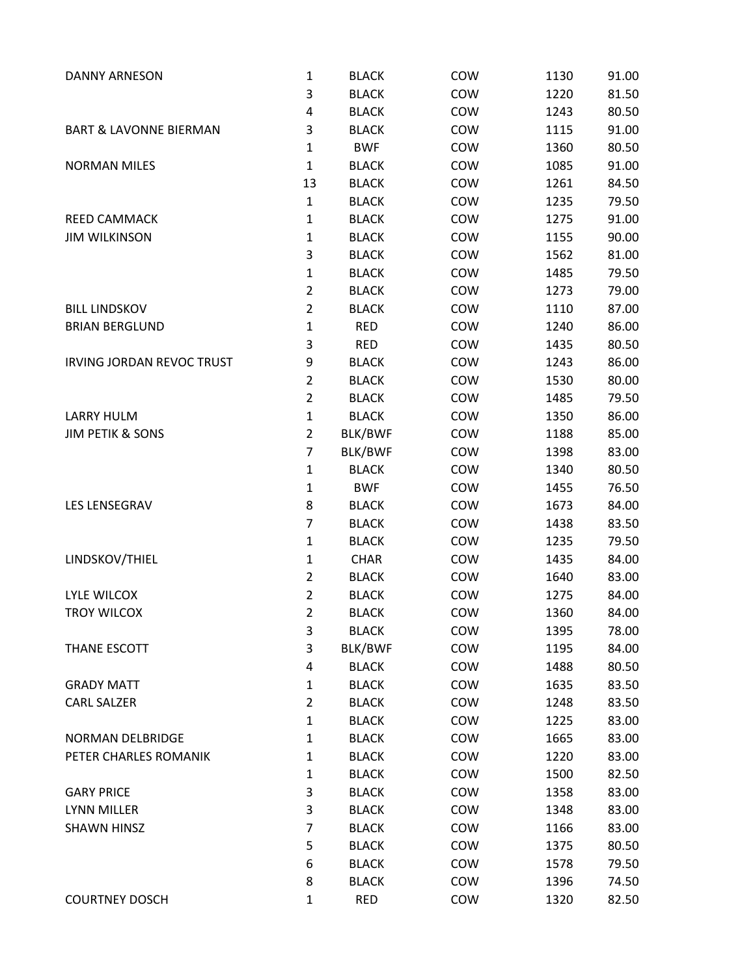| <b>DANNY ARNESON</b>              | $\mathbf 1$    | <b>BLACK</b> | COW | 1130 | 91.00 |
|-----------------------------------|----------------|--------------|-----|------|-------|
|                                   | 3              | <b>BLACK</b> | COW | 1220 | 81.50 |
|                                   | 4              | <b>BLACK</b> | COW | 1243 | 80.50 |
| <b>BART &amp; LAVONNE BIERMAN</b> | 3              | <b>BLACK</b> | COW | 1115 | 91.00 |
|                                   | $\mathbf 1$    | <b>BWF</b>   | COW | 1360 | 80.50 |
| <b>NORMAN MILES</b>               | $\mathbf{1}$   | <b>BLACK</b> | COW | 1085 | 91.00 |
|                                   | 13             | <b>BLACK</b> | COW | 1261 | 84.50 |
|                                   | $\mathbf{1}$   | <b>BLACK</b> | COW | 1235 | 79.50 |
| REED CAMMACK                      | $\mathbf 1$    | <b>BLACK</b> | COW | 1275 | 91.00 |
| <b>JIM WILKINSON</b>              | $\mathbf 1$    | <b>BLACK</b> | COW | 1155 | 90.00 |
|                                   | 3              | <b>BLACK</b> | COW | 1562 | 81.00 |
|                                   | $\mathbf 1$    | <b>BLACK</b> | COW | 1485 | 79.50 |
|                                   | $\overline{2}$ | <b>BLACK</b> | COW | 1273 | 79.00 |
| <b>BILL LINDSKOV</b>              | $\overline{2}$ | <b>BLACK</b> | COW | 1110 | 87.00 |
| <b>BRIAN BERGLUND</b>             | $\mathbf 1$    | <b>RED</b>   | COW | 1240 | 86.00 |
|                                   | 3              | <b>RED</b>   | COW | 1435 | 80.50 |
| <b>IRVING JORDAN REVOC TRUST</b>  | 9              | <b>BLACK</b> | COW | 1243 | 86.00 |
|                                   | $\overline{2}$ | <b>BLACK</b> | COW | 1530 | 80.00 |
|                                   | $\overline{2}$ | <b>BLACK</b> | COW | 1485 | 79.50 |
| <b>LARRY HULM</b>                 | $\mathbf 1$    | <b>BLACK</b> | COW | 1350 | 86.00 |
| <b>JIM PETIK &amp; SONS</b>       | $\overline{2}$ | BLK/BWF      | COW | 1188 | 85.00 |
|                                   | $\overline{7}$ | BLK/BWF      | COW | 1398 | 83.00 |
|                                   | $\mathbf 1$    | <b>BLACK</b> | COW | 1340 | 80.50 |
|                                   | $\mathbf 1$    | <b>BWF</b>   | COW | 1455 | 76.50 |
| LES LENSEGRAV                     | 8              | <b>BLACK</b> | COW | 1673 | 84.00 |
|                                   | $\overline{7}$ | <b>BLACK</b> | COW | 1438 | 83.50 |
|                                   | $\mathbf 1$    | <b>BLACK</b> | COW | 1235 | 79.50 |
| LINDSKOV/THIEL                    | $\mathbf 1$    | <b>CHAR</b>  | COW | 1435 | 84.00 |
|                                   | $\mathbf 2$    | <b>BLACK</b> | COW | 1640 | 83.00 |
| <b>LYLE WILCOX</b>                | $\overline{2}$ | <b>BLACK</b> | COW | 1275 | 84.00 |
| <b>TROY WILCOX</b>                | $\overline{2}$ | <b>BLACK</b> | COW | 1360 | 84.00 |
|                                   | 3              | <b>BLACK</b> | COW | 1395 | 78.00 |
| THANE ESCOTT                      | 3              | BLK/BWF      | COW | 1195 | 84.00 |
|                                   | 4              | <b>BLACK</b> | COW | 1488 | 80.50 |
| <b>GRADY MATT</b>                 | $\mathbf 1$    | <b>BLACK</b> | COW | 1635 | 83.50 |
| <b>CARL SALZER</b>                | $\mathbf 2$    | <b>BLACK</b> | COW | 1248 | 83.50 |
|                                   | $\mathbf{1}$   | <b>BLACK</b> | COW | 1225 | 83.00 |
| <b>NORMAN DELBRIDGE</b>           | $\mathbf 1$    | <b>BLACK</b> | COW | 1665 | 83.00 |
| PETER CHARLES ROMANIK             | $\mathbf{1}$   | <b>BLACK</b> | COW | 1220 | 83.00 |
|                                   | $\mathbf 1$    | <b>BLACK</b> | COW | 1500 | 82.50 |
| <b>GARY PRICE</b>                 | 3              | <b>BLACK</b> | COW | 1358 | 83.00 |
| LYNN MILLER                       | 3              | <b>BLACK</b> | COW | 1348 | 83.00 |
| <b>SHAWN HINSZ</b>                | 7              | <b>BLACK</b> | COW | 1166 | 83.00 |
|                                   | 5              | <b>BLACK</b> | COW | 1375 | 80.50 |
|                                   | 6              | <b>BLACK</b> | COW | 1578 | 79.50 |
|                                   | 8              | <b>BLACK</b> | COW | 1396 | 74.50 |
| <b>COURTNEY DOSCH</b>             | $\mathbf{1}$   | <b>RED</b>   | COW | 1320 | 82.50 |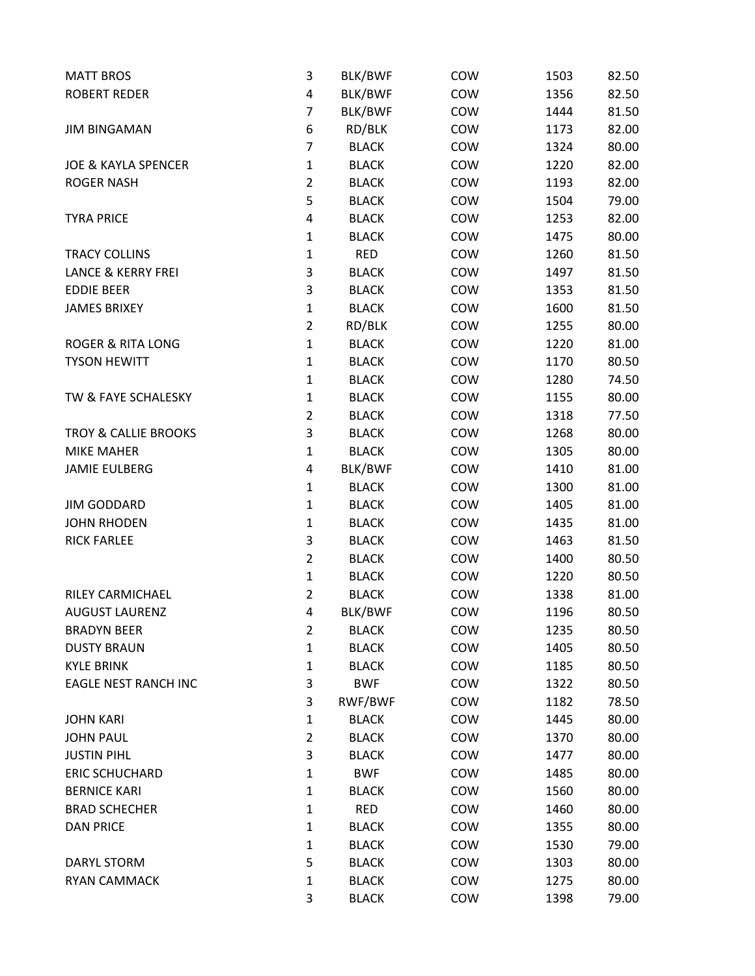| <b>MATT BROS</b>                | 3              | BLK/BWF      | COW | 1503 | 82.50 |
|---------------------------------|----------------|--------------|-----|------|-------|
| <b>ROBERT REDER</b>             | 4              | BLK/BWF      | COW | 1356 | 82.50 |
|                                 | 7              | BLK/BWF      | COW | 1444 | 81.50 |
| <b>JIM BINGAMAN</b>             | 6              | RD/BLK       | COW | 1173 | 82.00 |
|                                 | 7              | <b>BLACK</b> | COW | 1324 | 80.00 |
| <b>JOE &amp; KAYLA SPENCER</b>  | $\mathbf{1}$   | <b>BLACK</b> | COW | 1220 | 82.00 |
| <b>ROGER NASH</b>               | $\overline{2}$ | <b>BLACK</b> | COW | 1193 | 82.00 |
|                                 | 5              | <b>BLACK</b> | COW | 1504 | 79.00 |
| <b>TYRA PRICE</b>               | 4              | <b>BLACK</b> | COW | 1253 | 82.00 |
|                                 | $\mathbf{1}$   | <b>BLACK</b> | COW | 1475 | 80.00 |
| <b>TRACY COLLINS</b>            | $\mathbf{1}$   | <b>RED</b>   | COW | 1260 | 81.50 |
| <b>LANCE &amp; KERRY FREI</b>   | 3              | <b>BLACK</b> | COW | 1497 | 81.50 |
| <b>EDDIE BEER</b>               | 3              | <b>BLACK</b> | COW | 1353 | 81.50 |
| <b>JAMES BRIXEY</b>             | $\mathbf 1$    | <b>BLACK</b> | COW | 1600 | 81.50 |
|                                 | $\overline{2}$ | RD/BLK       | COW | 1255 | 80.00 |
| <b>ROGER &amp; RITA LONG</b>    | $\mathbf 1$    | <b>BLACK</b> | COW | 1220 | 81.00 |
| <b>TYSON HEWITT</b>             | $\mathbf{1}$   | <b>BLACK</b> | COW | 1170 | 80.50 |
|                                 | $\mathbf{1}$   | <b>BLACK</b> | COW | 1280 | 74.50 |
| TW & FAYE SCHALESKY             | $\mathbf 1$    | <b>BLACK</b> | COW | 1155 | 80.00 |
|                                 | $\overline{2}$ | <b>BLACK</b> | COW | 1318 | 77.50 |
| <b>TROY &amp; CALLIE BROOKS</b> | 3              | <b>BLACK</b> | COW | 1268 | 80.00 |
| <b>MIKE MAHER</b>               | $\mathbf 1$    | <b>BLACK</b> | COW | 1305 | 80.00 |
| <b>JAMIE EULBERG</b>            | 4              | BLK/BWF      | COW | 1410 | 81.00 |
|                                 | $\mathbf 1$    | <b>BLACK</b> | COW | 1300 | 81.00 |
| <b>JIM GODDARD</b>              | $\mathbf{1}$   | <b>BLACK</b> | COW | 1405 | 81.00 |
| <b>JOHN RHODEN</b>              | $\mathbf{1}$   | <b>BLACK</b> | COW | 1435 | 81.00 |
| <b>RICK FARLEE</b>              | 3              | <b>BLACK</b> | COW | 1463 | 81.50 |
|                                 | $\overline{2}$ | <b>BLACK</b> | COW | 1400 | 80.50 |
|                                 | $\mathbf 1$    | <b>BLACK</b> | COW | 1220 | 80.50 |
| RILEY CARMICHAEL                | $\overline{2}$ | <b>BLACK</b> | COW | 1338 | 81.00 |
| <b>AUGUST LAURENZ</b>           | 4              | BLK/BWF      | COW | 1196 | 80.50 |
| <b>BRADYN BEER</b>              | $\overline{2}$ | <b>BLACK</b> | COW | 1235 | 80.50 |
| <b>DUSTY BRAUN</b>              | $\mathbf 1$    | <b>BLACK</b> | COW | 1405 | 80.50 |
| <b>KYLE BRINK</b>               | $\mathbf{1}$   | <b>BLACK</b> | COW | 1185 | 80.50 |
| <b>EAGLE NEST RANCH INC</b>     | 3              | <b>BWF</b>   | COW | 1322 | 80.50 |
|                                 | 3              | RWF/BWF      | COW | 1182 | 78.50 |
| <b>JOHN KARI</b>                | $\mathbf{1}$   | <b>BLACK</b> | COW | 1445 | 80.00 |
| <b>JOHN PAUL</b>                | $\overline{2}$ | <b>BLACK</b> | COW | 1370 | 80.00 |
| <b>JUSTIN PIHL</b>              | 3              | <b>BLACK</b> | COW | 1477 | 80.00 |
| <b>ERIC SCHUCHARD</b>           | $\mathbf 1$    | <b>BWF</b>   | COW | 1485 | 80.00 |
| <b>BERNICE KARI</b>             | $\mathbf{1}$   | <b>BLACK</b> | COW | 1560 | 80.00 |
| <b>BRAD SCHECHER</b>            | $\mathbf{1}$   | <b>RED</b>   | COW | 1460 | 80.00 |
| <b>DAN PRICE</b>                | $\mathbf 1$    | <b>BLACK</b> | COW | 1355 | 80.00 |
|                                 | $\mathbf{1}$   | <b>BLACK</b> | COW | 1530 | 79.00 |
| <b>DARYL STORM</b>              | 5              | <b>BLACK</b> | COW | 1303 | 80.00 |
| <b>RYAN CAMMACK</b>             | $\mathbf 1$    | <b>BLACK</b> | COW | 1275 | 80.00 |
|                                 | 3              | <b>BLACK</b> | COW | 1398 | 79.00 |